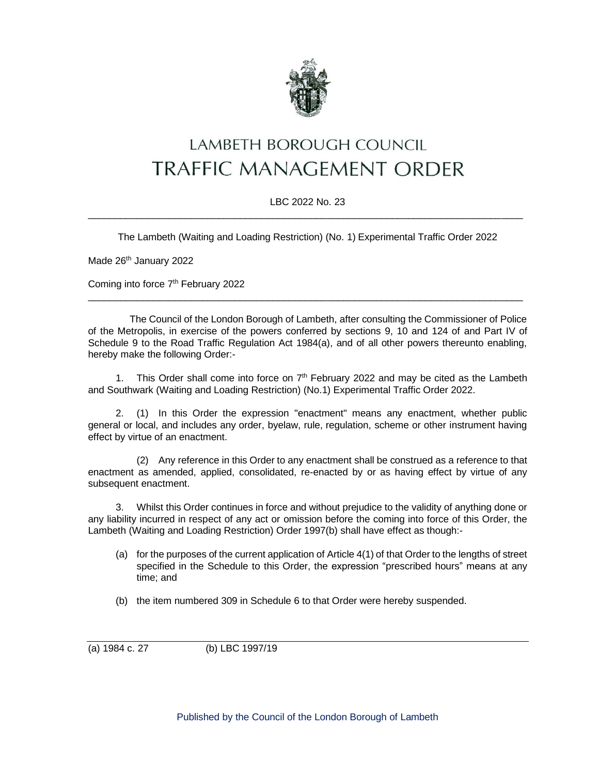

## LAMBETH BOROUGH COUNCIL **TRAFFIC MANAGEMENT ORDER**

## LBC 2022 No. 23 \_\_\_\_\_\_\_\_\_\_\_\_\_\_\_\_\_\_\_\_\_\_\_\_\_\_\_\_\_\_\_\_\_\_\_\_\_\_\_\_\_\_\_\_\_\_\_\_\_\_\_\_\_\_\_\_\_\_\_\_\_\_\_\_\_\_\_\_\_\_\_\_\_\_\_\_\_\_\_\_

The Lambeth (Waiting and Loading Restriction) (No. 1) Experimental Traffic Order 2022

Made 26<sup>th</sup> January 2022

Coming into force 7<sup>th</sup> February 2022

The Council of the London Borough of Lambeth, after consulting the Commissioner of Police of the Metropolis, in exercise of the powers conferred by sections 9, 10 and 124 of and Part IV of Schedule 9 to the Road Traffic Regulation Act 1984(a), and of all other powers thereunto enabling, hereby make the following Order:-

\_\_\_\_\_\_\_\_\_\_\_\_\_\_\_\_\_\_\_\_\_\_\_\_\_\_\_\_\_\_\_\_\_\_\_\_\_\_\_\_\_\_\_\_\_\_\_\_\_\_\_\_\_\_\_\_\_\_\_\_\_\_\_\_\_\_\_\_\_\_\_\_\_\_\_\_\_\_\_\_

1. This Order shall come into force on  $7<sup>th</sup>$  February 2022 and may be cited as the Lambeth and Southwark (Waiting and Loading Restriction) (No.1) Experimental Traffic Order 2022.

2. (1) In this Order the expression "enactment" means any enactment, whether public general or local, and includes any order, byelaw, rule, regulation, scheme or other instrument having effect by virtue of an enactment.

(2) Any reference in this Order to any enactment shall be construed as a reference to that enactment as amended, applied, consolidated, re-enacted by or as having effect by virtue of any subsequent enactment.

3. Whilst this Order continues in force and without prejudice to the validity of anything done or any liability incurred in respect of any act or omission before the coming into force of this Order, the Lambeth (Waiting and Loading Restriction) Order 1997(b) shall have effect as though:-

- (a) for the purposes of the current application of Article 4(1) of that Order to the lengths of street specified in the Schedule to this Order, the expression "prescribed hours" means at any time; and
- (b) the item numbered 309 in Schedule 6 to that Order were hereby suspended.

(a) 1984 c. 27 (b) LBC 1997/19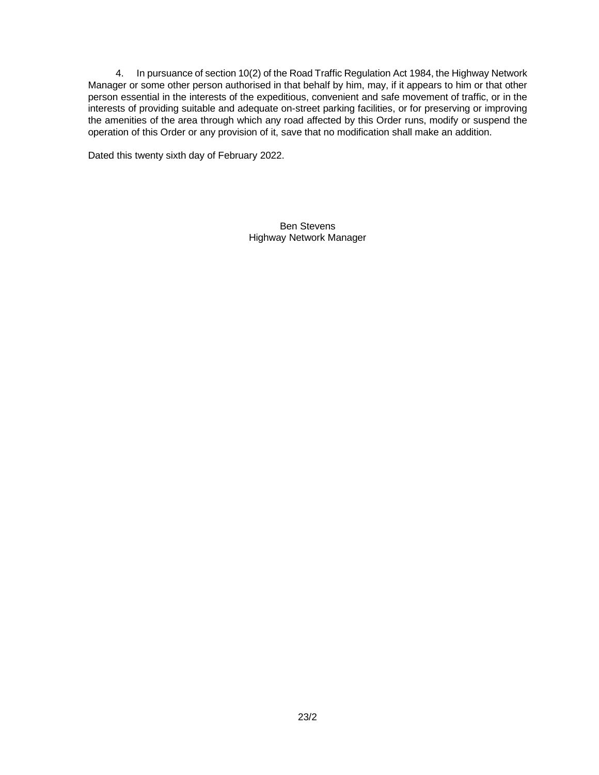4. In pursuance of section 10(2) of the Road Traffic Regulation Act 1984, the Highway Network Manager or some other person authorised in that behalf by him, may, if it appears to him or that other person essential in the interests of the expeditious, convenient and safe movement of traffic, or in the interests of providing suitable and adequate on-street parking facilities, or for preserving or improving the amenities of the area through which any road affected by this Order runs, modify or suspend the operation of this Order or any provision of it, save that no modification shall make an addition.

Dated this twenty sixth day of February 2022.

Ben Stevens Highway Network Manager